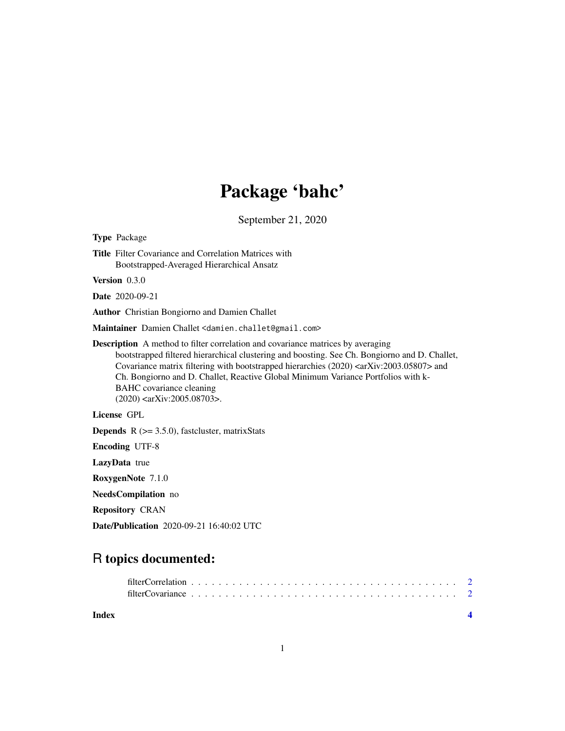# Package 'bahc'

September 21, 2020

| <b>Type Package</b>                                                                                                                                                                                                                                                                                                                                                                                                                                                                     |
|-----------------------------------------------------------------------------------------------------------------------------------------------------------------------------------------------------------------------------------------------------------------------------------------------------------------------------------------------------------------------------------------------------------------------------------------------------------------------------------------|
| <b>Title</b> Filter Covariance and Correlation Matrices with<br>Bootstrapped-Averaged Hierarchical Ansatz                                                                                                                                                                                                                                                                                                                                                                               |
| Version $0.3.0$                                                                                                                                                                                                                                                                                                                                                                                                                                                                         |
| <b>Date</b> 2020-09-21                                                                                                                                                                                                                                                                                                                                                                                                                                                                  |
| Author Christian Bongiorno and Damien Challet                                                                                                                                                                                                                                                                                                                                                                                                                                           |
| Maintainer Damien Challet <damien.challet@gmail.com></damien.challet@gmail.com>                                                                                                                                                                                                                                                                                                                                                                                                         |
| <b>Description</b> A method to filter correlation and covariance matrices by averaging<br>bootstrapped filtered hierarchical clustering and boosting. See Ch. Bongiorno and D. Challet,<br>Covariance matrix filtering with bootstrapped hierarchies (2020) <arxiv:2003.05807> and<br/>Ch. Bongiorno and D. Challet, Reactive Global Minimum Variance Portfolios with k-<br/>BAHC covariance cleaning<br/><math>(2020)</math> <arxiv:2005.08703>.</arxiv:2005.08703></arxiv:2003.05807> |
| License GPL                                                                                                                                                                                                                                                                                                                                                                                                                                                                             |
| <b>Depends</b> $R$ ( $>= 3.5.0$ ), fastcluster, matrixStats                                                                                                                                                                                                                                                                                                                                                                                                                             |
| <b>Encoding UTF-8</b>                                                                                                                                                                                                                                                                                                                                                                                                                                                                   |
| LazyData true                                                                                                                                                                                                                                                                                                                                                                                                                                                                           |
| RoxygenNote 7.1.0                                                                                                                                                                                                                                                                                                                                                                                                                                                                       |
| NeedsCompilation no                                                                                                                                                                                                                                                                                                                                                                                                                                                                     |
| <b>Repository CRAN</b>                                                                                                                                                                                                                                                                                                                                                                                                                                                                  |
| <b>Date/Publication</b> 2020-09-21 16:40:02 UTC                                                                                                                                                                                                                                                                                                                                                                                                                                         |

# R topics documented:

| filterCovariance experience is a constructed by the construction of the construction of the construction of the construction of the construction of the construction of the construction of the construction of the constructi |  |
|--------------------------------------------------------------------------------------------------------------------------------------------------------------------------------------------------------------------------------|--|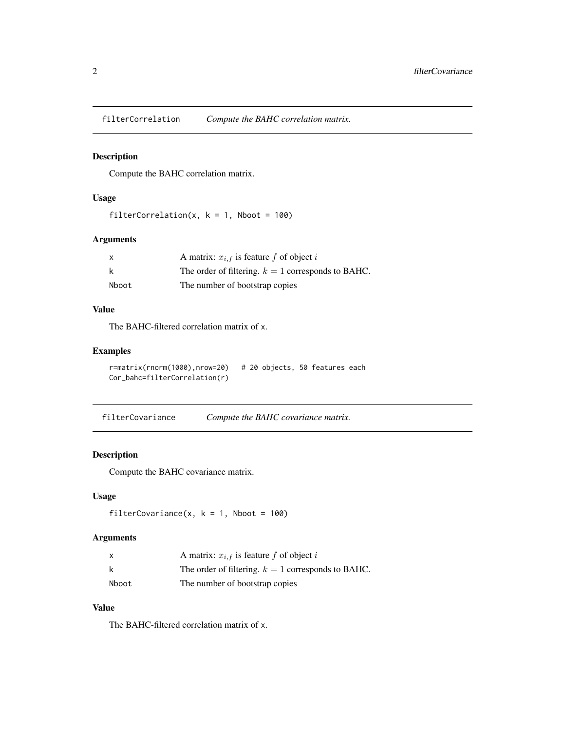<span id="page-1-0"></span>filterCorrelation *Compute the BAHC correlation matrix.*

# Description

Compute the BAHC correlation matrix.

# Usage

```
filterCorrelation(x, k = 1, Nboot = 100)
```
# Arguments

| x     | A matrix: $x_{i,f}$ is feature f of object i         |
|-------|------------------------------------------------------|
| k     | The order of filtering. $k = 1$ corresponds to BAHC. |
| Nboot | The number of bootstrap copies                       |

#### Value

The BAHC-filtered correlation matrix of x.

#### Examples

```
r=matrix(rnorm(1000),nrow=20) # 20 objects, 50 features each
Cor_bahc=filterCorrelation(r)
```

```
filterCovariance Compute the BAHC covariance matrix.
```
# Description

Compute the BAHC covariance matrix.

# Usage

```
filterCovariance(x, k = 1, Nboot = 100)
```
# Arguments

|       | A matrix: $x_{i,f}$ is feature f of object i         |
|-------|------------------------------------------------------|
|       | The order of filtering. $k = 1$ corresponds to BAHC. |
| Nboot | The number of bootstrap copies                       |

### Value

The BAHC-filtered correlation matrix of x.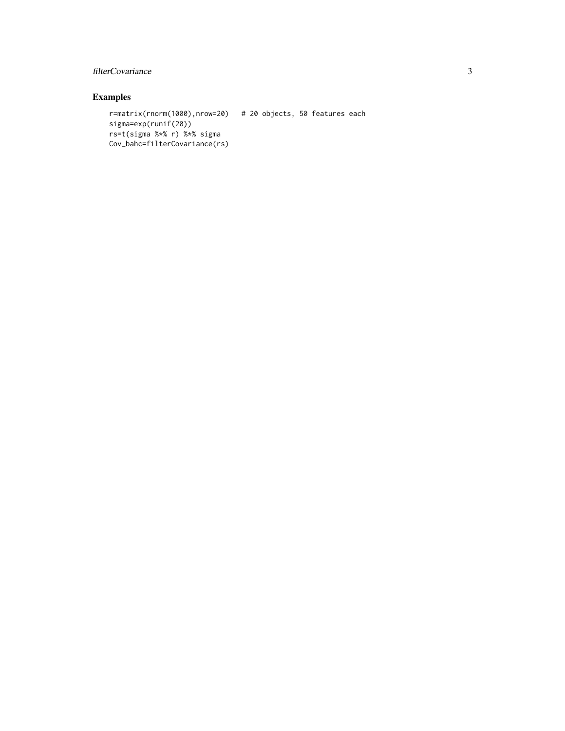# filterCovariance 3

# Examples

```
r=matrix(rnorm(1000),nrow=20) # 20 objects, 50 features each
sigma=exp(runif(20))
rs=t(sigma %*% r) %*% sigma
Cov_bahc=filterCovariance(rs)
```